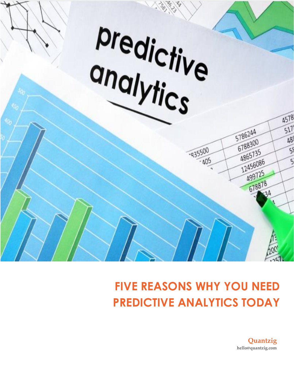

# **FIVE REASONS WHY YOU NEED PREDICTIVE ANALYTICS TODAY**

**Quantzig hello@quantzig.com**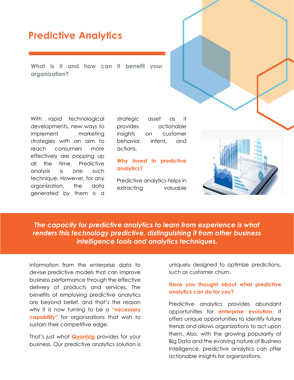### **Predictive Analytics**

**What is it and how can it benefit your organization?**

With rapid technological developments, new ways to implement marketing strategies with an aim to reach consumers more effectively are popping up all the time. Predictive analysis is one such technique. However, for any organization, the data generated by them is a strategic asset as it provides actionable insights on customer behavior, intent, and actions.

### **Why invest in predictive analytics?**

Predictive analytics helps in extracting valuable



*The capacity for predictive analytics to learn from experience is what renders this technology predictive, distinguishing it from other business intelligence tools and analytics techniques.*

information from the enterprise data to devise predictive models that can improve business performance through the effective delivery of products and services. The benefits of employing predictive analytics are beyond belief, and that's the reason why it is now turning to be a **"necessary capability"** for organizations that wish to sustain their competitive edge.

That's just what **[Quantzig](https://www.quantzig.com/?utm_source=QZwhitepaper&utm_medium=QZ&utm_campaign=whitepaper)** provides for your business. Our predictive analytics solution is uniquely designed to optimize predictions, such as customer churn.

### **Have you thought about what predictive analytics can do for you?**

Predictive analytics provides abundant opportunities for **enterprise evolution**. It offers unique opportunities to identify future trends and allows organizations to act upon them. Also, with the growing popularity of Big Data and the evolving nature of Business Intelligence, predictive analytics can offer actionable insights for organizations.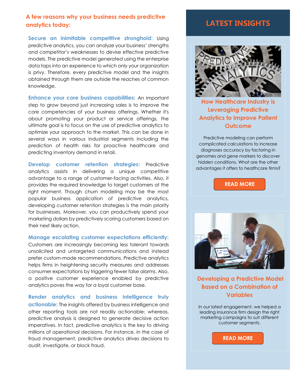### **A few reasons why your business needs predictive analytics today:**

**Secure an inimitable competitive stronghold:** Using predictive analytics, you can analyze your business' strengths and competitor's weaknesses to devise effective predictive models. The predictive model generated using the enterprise data taps into an experience to which only your organization is privy. Therefore, every predictive model and the insights obtained through them are outside the reaches of common knowledge.

**Enhance your core business capabilities:** An important step to grow beyond just increasing sales is to improve the core competencies of your business offerings. Whether it's about promoting your product or service offerings, the ultimate goal is to focus on the use of predictive analytics to optimize your approach to the market. This can be done in several ways in various industrial segments including the prediction of health risks for proactive healthcare and predicting inventory demand in retail.

**Develop customer retention strategies:** Predictive analytics assists in delivering a unique competitive advantage to a range of customer-facing activities. Also, it provides the required knowledge to target customers at the right moment. Though churn modeling may be the most popular business application of predictive analytics, developing customer retention strategies is the main priority for businesses. Moreover, you can productively spend your marketing dollars by predictively scoring customers based on their next likely action.

#### **Manage escalating customer expectations efficiently:**

Customers are increasingly becoming less tolerant towards unsolicited and untargeted communications and instead prefer custom-made recommendations. Predictive analytics helps firms in heightening security measures and addresses consumer expectations by triggering fewer false alarms. Also, a positive customer experience enabled by predictive analytics paves the way for a loyal customer base.

**Render analytics and business intelligence truly actionable:** The insights offered by business intelligence and other reporting tools are not readily actionable; whereas, predictive analysis is designed to generate decisive action imperatives. In fact, predictive analytics is the key to driving millions of operational decisions. For instance, in the case of fraud management, predictive analytics drives decisions to audit, investigate, or block fraud.

### **LATEST INSIGHTS**



**[How Healthcare Industry is](https://www.quantzig.com/blog/predictive-analytics-patient-outcomes?utm_source=QZwhitepaper&utm_medium=QZ&utm_campaign=whitepaper)  [Leveraging Predictive](https://www.quantzig.com/blog/predictive-analytics-patient-outcomes?utm_source=QZwhitepaper&utm_medium=QZ&utm_campaign=whitepaper)  [Analytics to Improve Patient](https://www.quantzig.com/blog/predictive-analytics-patient-outcomes?utm_source=QZwhitepaper&utm_medium=QZ&utm_campaign=whitepaper)  [Outcome](https://www.quantzig.com/blog/predictive-analytics-patient-outcomes?utm_source=QZwhitepaper&utm_medium=QZ&utm_campaign=whitepaper)**

Predictive modeling can perform complicated calculations to increase diagnoses accuracy by factoring in genomes and gene markers to discover hidden conditions. What are the other advantages it offers to healthcare firms?

**[READ MORE](https://www.quantzig.com/blog/predictive-analytics-patient-outcomes?utm_source=QZwhitepaper&utm_medium=QZ&utm_campaign=whitepaper)**



**Developing a [Predictive Model](https://www.quantzig.com/content/marketing-analytics-insurance-company?utm_source=QZwhitepaper&utm_medium=QZ&utm_campaign=whitepaper)  [Based on a Combination of](https://www.quantzig.com/content/marketing-analytics-insurance-company?utm_source=QZwhitepaper&utm_medium=QZ&utm_campaign=whitepaper)  [Variables](https://www.quantzig.com/content/marketing-analytics-insurance-company?utm_source=QZwhitepaper&utm_medium=QZ&utm_campaign=whitepaper)**

In our latest engagement, we helped a leading insurance firm design the right marketing campaigns to suit different customer segments.